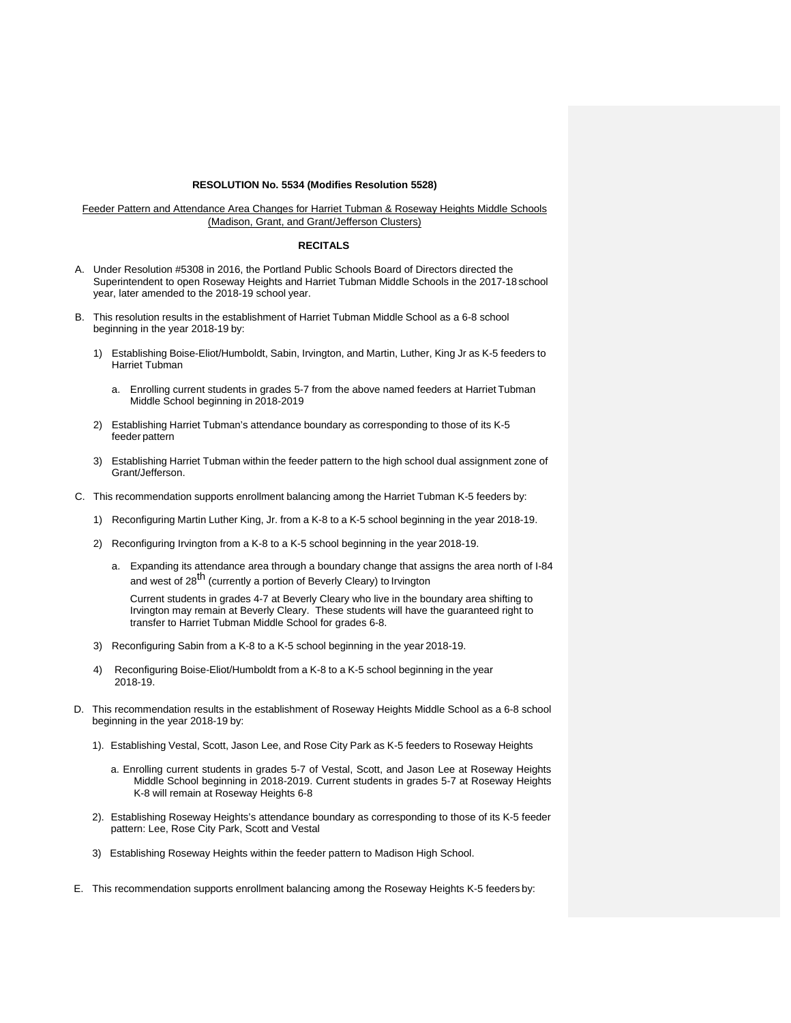## **RESOLUTION No. 5534 (Modifies Resolution 5528)**

Feeder Pattern and Attendance Area Changes for Harriet Tubman & Roseway Heights Middle Schools (Madison, Grant, and Grant/Jefferson Clusters)

## **RECITALS**

- A. Under Resolution #5308 in 2016, the Portland Public Schools Board of Directors directed the Superintendent to open Roseway Heights and Harriet Tubman Middle Schools in the 2017-18 school year, later amended to the 2018-19 school year.
- B. This resolution results in the establishment of Harriet Tubman Middle School as a 6-8 school beginning in the year 2018-19 by:
	- 1) Establishing Boise-Eliot/Humboldt, Sabin, Irvington, and Martin, Luther, King Jr as K-5 feeders to Harriet Tubman
		- a. Enrolling current students in grades 5-7 from the above named feeders at Harriet Tubman Middle School beginning in 2018-2019
	- 2) Establishing Harriet Tubman's attendance boundary as corresponding to those of its K-5 feeder pattern
	- 3) Establishing Harriet Tubman within the feeder pattern to the high school dual assignment zone of Grant/Jefferson.
- C. This recommendation supports enrollment balancing among the Harriet Tubman K-5 feeders by:
	- 1) Reconfiguring Martin Luther King, Jr. from a K-8 to a K-5 school beginning in the year 2018-19.
	- 2) Reconfiguring Irvington from a K-8 to a K-5 school beginning in the year 2018-19.
		- a. Expanding its attendance area through a boundary change that assigns the area north of I-84 and west of 28<sup>th</sup> (currently a portion of Beverly Cleary) to Irvington

Current students in grades 4-7 at Beverly Cleary who live in the boundary area shifting to Irvington may remain at Beverly Cleary. These students will have the guaranteed right to transfer to Harriet Tubman Middle School for grades 6-8.

- 3) Reconfiguring Sabin from a K-8 to a K-5 school beginning in the year 2018-19.
- 4) Reconfiguring Boise-Eliot/Humboldt from a K-8 to a K-5 school beginning in the year 2018-19.
- D. This recommendation results in the establishment of Roseway Heights Middle School as a 6-8 school beginning in the year 2018-19 by:
	- 1). Establishing Vestal, Scott, Jason Lee, and Rose City Park as K-5 feeders to Roseway Heights
		- a. Enrolling current students in grades 5-7 of Vestal, Scott, and Jason Lee at Roseway Heights Middle School beginning in 2018-2019. Current students in grades 5-7 at Roseway Heights K-8 will remain at Roseway Heights 6-8
	- 2). Establishing Roseway Heights's attendance boundary as corresponding to those of its K-5 feeder pattern: Lee, Rose City Park, Scott and Vestal
	- 3) Establishing Roseway Heights within the feeder pattern to Madison High School.
- E. This recommendation supports enrollment balancing among the Roseway Heights K-5 feeders by: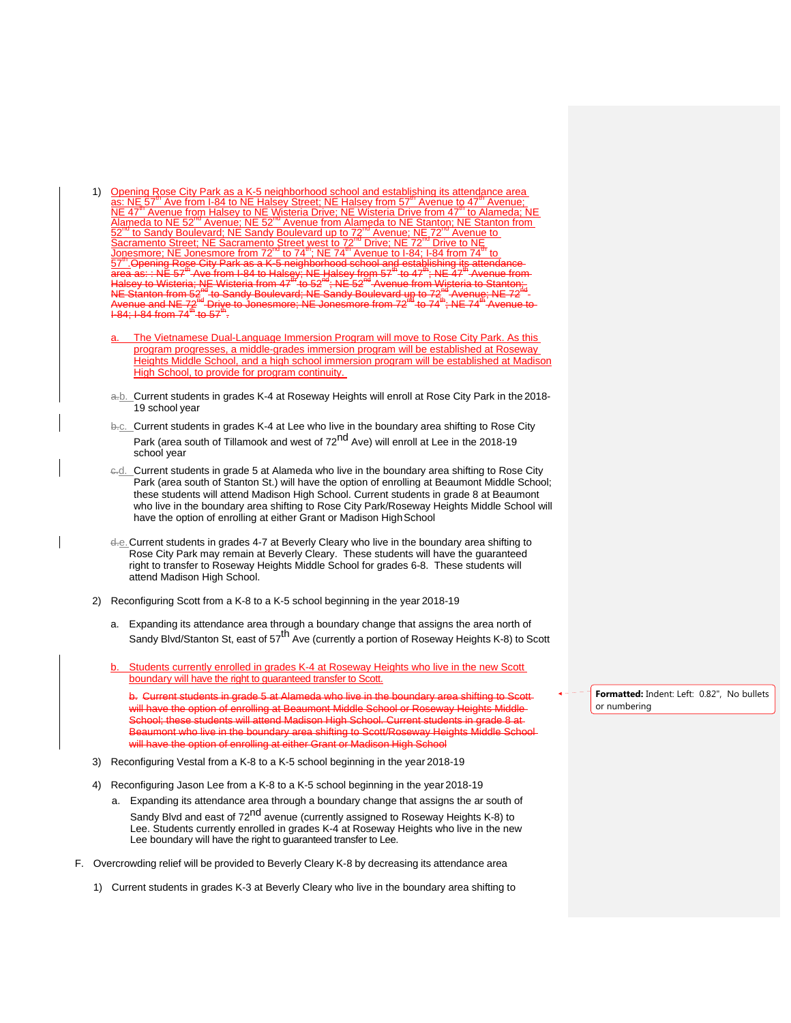- 1) Opening Rose City Park as a K-5 neighborhood school and establishing its attendance area<br>as: NE 57<sup>m</sup> Ave from I-84 to NE Halsey Street; NE Halsey from 57<sup>m</sup> Avenue to 47<sup>m</sup> Avenue;<br>NE 47<sup>m</sup> Avenue from Halsey to NE Wi
	- The Vietnamese Dual-Language Immersion Program will move to Rose City Park. As this program progresses, a middle-grades immersion program will be established at Roseway Heights Middle School, and a high school immersion program will be established at Madison High School, to provide for program continuity.
	- a.b. Current students in grades K-4 at Roseway Heights will enroll at Rose City Park in the 2018- 19 school year
	- b.<sub>c.</sub> Current students in grades K-4 at Lee who live in the boundary area shifting to Rose City Park (area south of Tillamook and west of 72<sup>nd</sup> Ave) will enroll at Lee in the 2018-19 school year
	- e-d. Current students in grade 5 at Alameda who live in the boundary area shifting to Rose City Park (area south of Stanton St.) will have the option of enrolling at Beaumont Middle School; these students will attend Madison High School. Current students in grade 8 at Beaumont who live in the boundary area shifting to Rose City Park/Roseway Heights Middle School will have the option of enrolling at either Grant or Madison High School
	- d.e. Current students in grades 4-7 at Beverly Cleary who live in the boundary area shifting to Rose City Park may remain at Beverly Cleary. These students will have the guaranteed right to transfer to Roseway Heights Middle School for grades 6-8. These students will attend Madison High School.
- 2) Reconfiguring Scott from a K-8 to a K-5 school beginning in the year 2018-19
	- a. Expanding its attendance area through a boundary change that assigns the area north of Sandy Blvd/Stanton St, east of 57<sup>th</sup> Ave (currently a portion of Roseway Heights K-8) to Scott
	- Students currently enrolled in grades K-4 at Roseway Heights who live in the new Scott boundary will have the right to guaranteed transfer to Scott.

b. Current students in grade 5 at Alameda who live in the boundar will have the option of enrolling at Beaumont Middle School or Roseway Heights Middle-School; these students will attend Madison High School. Current students in grade 8 at Beaumont who live in the boundary area shifting to Scott/Roseway Heights Middle School will have the option of enrolling at either Grant or Madison High School

- 3) Reconfiguring Vestal from a K-8 to a K-5 school beginning in the year 2018-19
- 4) Reconfiguring Jason Lee from a K-8 to a K-5 school beginning in the year 2018-19
	- a. Expanding its attendance area through a boundary change that assigns the ar south of Sandy Blvd and east of 72<sup>nd</sup> avenue (currently assigned to Roseway Heights K-8) to

Lee. Students currently enrolled in grades K-4 at Roseway Heights who live in the new Lee boundary will have the right to guaranteed transfer to Lee.

- F. Overcrowding relief will be provided to Beverly Cleary K-8 by decreasing its attendance area
	- 1) Current students in grades K-3 at Beverly Cleary who live in the boundary area shifting to

**Formatted:** Indent: Left: 0.82", No bullets or numbering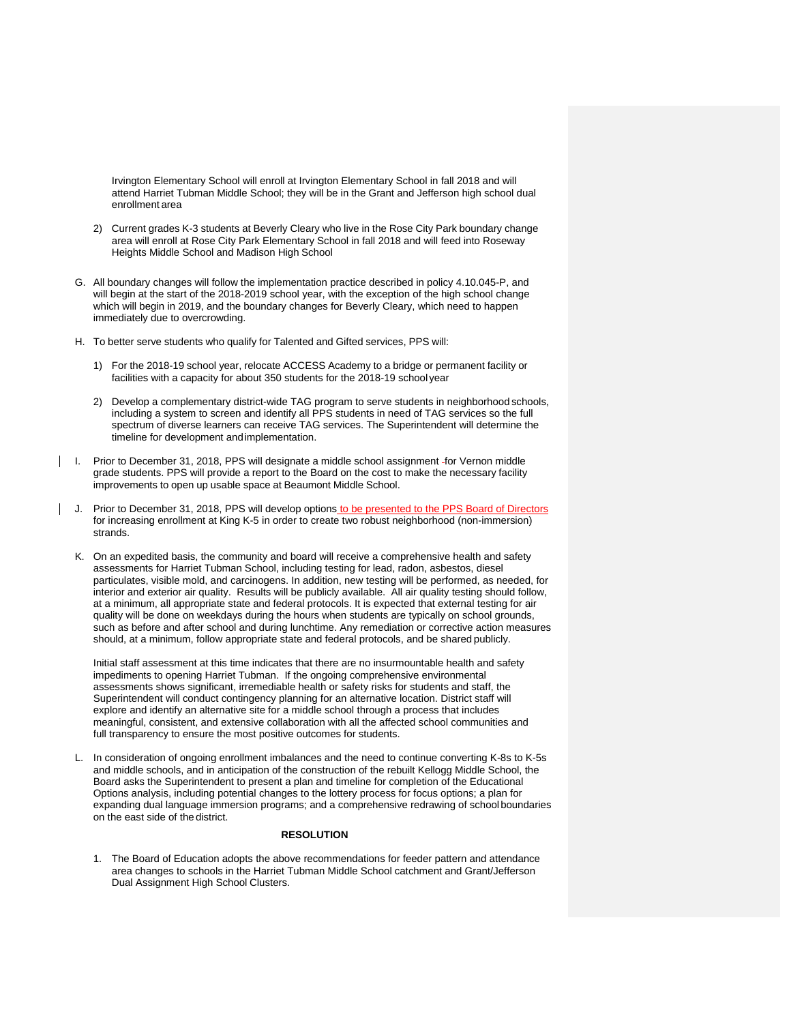Irvington Elementary School will enroll at Irvington Elementary School in fall 2018 and will attend Harriet Tubman Middle School; they will be in the Grant and Jefferson high school dual enrollment area

- 2) Current grades K-3 students at Beverly Cleary who live in the Rose City Park boundary change area will enroll at Rose City Park Elementary School in fall 2018 and will feed into Roseway Heights Middle School and Madison High School
- G. All boundary changes will follow the implementation practice described in policy 4.10.045-P, and will begin at the start of the 2018-2019 school year, with the exception of the high school change which will begin in 2019, and the boundary changes for Beverly Cleary, which need to happen immediately due to overcrowding.
- H. To better serve students who qualify for Talented and Gifted services, PPS will:
	- 1) For the 2018-19 school year, relocate ACCESS Academy to a bridge or permanent facility or facilities with a capacity for about 350 students for the 2018-19 school year
	- 2) Develop a complementary district-wide TAG program to serve students in neighborhood schools, including a system to screen and identify all PPS students in need of TAG services so the full spectrum of diverse learners can receive TAG services. The Superintendent will determine the timeline for development and implementation.
- | I. Prior to December 31, 2018, PPS will designate a middle school assignment -for Vernon middle grade students. PPS will provide a report to the Board on the cost to make the necessary facility improvements to open up usable space at Beaumont Middle School.
- J. Prior to December 31, 2018, PPS will develop options to be presented to the PPS Board of Directors for increasing enrollment at King K-5 in order to create two robust neighborhood (non-immersion) strands.
	- K. On an expedited basis, the community and board will receive a comprehensive health and safety assessments for Harriet Tubman School, including testing for lead, radon, asbestos, diesel particulates, visible mold, and carcinogens. In addition, new testing will be performed, as needed, for interior and exterior air quality. Results will be publicly available. All air quality testing should follow, at a minimum, all appropriate state and federal protocols. It is expected that external testing for air quality will be done on weekdays during the hours when students are typically on school grounds, such as before and after school and during lunchtime. Any remediation or corrective action measures should, at a minimum, follow appropriate state and federal protocols, and be shared publicly.

Initial staff assessment at this time indicates that there are no insurmountable health and safety impediments to opening Harriet Tubman. If the ongoing comprehensive environmental assessments shows significant, irremediable health or safety risks for students and staff, the Superintendent will conduct contingency planning for an alternative location. District staff will explore and identify an alternative site for a middle school through a process that includes meaningful, consistent, and extensive collaboration with all the affected school communities and full transparency to ensure the most positive outcomes for students.

L. In consideration of ongoing enrollment imbalances and the need to continue converting K-8s to K-5s and middle schools, and in anticipation of the construction of the rebuilt Kellogg Middle School, the Board asks the Superintendent to present a plan and timeline for completion of the Educational Options analysis, including potential changes to the lottery process for focus options; a plan for expanding dual language immersion programs; and a comprehensive redrawing of school boundaries on the east side of the district.

## **RESOLUTION**

1. The Board of Education adopts the above recommendations for feeder pattern and attendance area changes to schools in the Harriet Tubman Middle School catchment and Grant/Jefferson Dual Assignment High School Clusters.